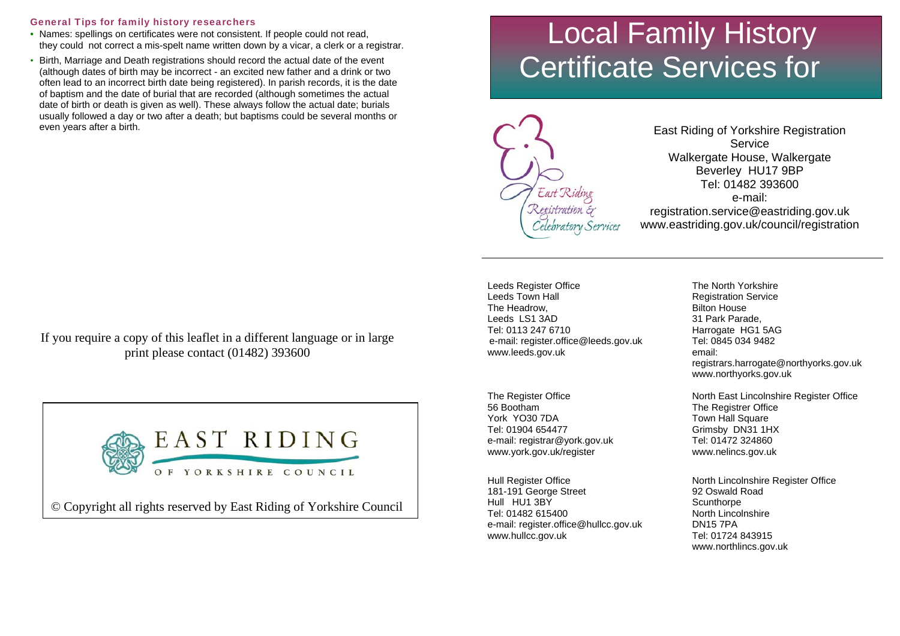### General Tips for family history researchers

- Names: spellings on certificates were not consistent. If people could not read, they could not correct a mis-spelt name written down by a vicar, a clerk or a registrar.
- Birth, Marriage and Death registrations should record the actual date of the event (although dates of birth may be incorrect - an excited new father and a drink or two often lead to an incorrect birth date being registered). In parish records, it is the date of baptism and the date of burial that are recorded (although sometimes the actual date of birth or death is given as well). These always follow the actual date; burials usually followed a day or two after a death; but baptisms could be several months or even years after a birth.

If you require a copy of this leaflet in a different language or in large print please contact (01482) 393600



© Copyright all rights reserved by East Riding of Yorkshire Council

# Local Family History Certificate Services for



East Riding of Yorkshire Registration Service Walkergate House, Walkergate Beverley HU17 9BP Tel: 01482 393600 e-mail: registration.service@eastriding.gov.uk www.eastriding.gov.uk/council/registration

Leeds Register Office Leeds Town Hall The Headrow, Leeds LS1 3AD Tel: 0113 247 6710 e-mail: register.office@leeds.gov.uk www.leeds.gov.uk

The Register Office 56 Bootham York YO30 7DA Tel: 01904 654477 e-mail: registrar@york.gov.uk www.york.gov.uk/register

Hull Register Office 181-191 George Street Hull HU1 3BY Tel: 01482 615400 e-mail: register.office@hullcc.gov.uk www.hullcc.gov.uk

The North Yorkshire Registration Service Bilton House 31 Park Parade, Harrogate HG1 5AG Tel: 0845 034 9482 email: registrars.harrogate@northyorks.gov.uk www.northyorks.gov.uk

North East Lincolnshire Register Office The Registrer Office Town Hall Square Grimsby DN31 1HX Tel: 01472 324860 www.nelincs.gov.uk

North Lincolnshire Register Office 92 Oswald Road **Scunthorpe** North Lincolnshire DN15 7PA Tel: 01724 843915 www.northlincs.gov.uk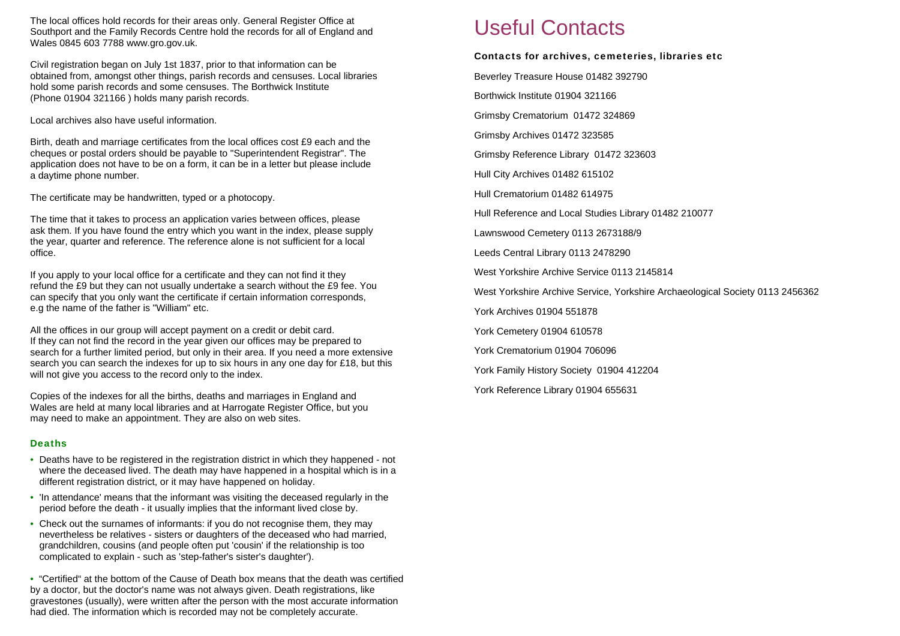The local offices hold records for their areas only. General Register Office at Southport and the Family Records Centre hold the records for all of England and Wales 0845 603 7788 www.gro.gov.uk.

Civil registration began on July 1st 1837, prior to that information can be obtained from, amongst other things, parish records and censuses. Local libraries hold some parish records and some censuses. The Borthwick Institute (Phone 01904 321166 ) holds many parish records.

Local archives also have useful information.

Birth, death and marriage certificates from the local offices cost £9 each and the cheques or postal orders should be payable to "Superintendent Registrar". The application does not have to be on a form, it can be in a letter but please include a daytime phone number.

The certificate may be handwritten, typed or a photocopy.

The time that it takes to process an application varies between offices, please ask them. If you have found the entry which you want in the index, please supply the year, quarter and reference. The reference alone is not sufficient for a local office.

If you apply to your local office for a certificate and they can not find it they refund the £9 but they can not usually undertake a search without the £9 fee. You can specify that you only want the certificate if certain information corresponds, e.g the name of the father is "William" etc.

All the offices in our group will accept payment on a credit or debit card. If they can not find the record in the year given our offices may be prepared to search for a further limited period, but only in their area. If you need a more extensive search you can search the indexes for up to six hours in any one day for £18, but this will not give you access to the record only to the index.

Copies of the indexes for all the births, deaths and marriages in England and Wales are held at many local libraries and at Harrogate Register Office, but you may need to make an appointment. They are also on web sites.

### **Deaths**

- Deaths have to be registered in the registration district in which they happened not where the deceased lived. The death may have happened in a hospital which is in a different registration district, or it may have happened on holiday.
- 'In attendance' means that the informant was visiting the deceased regularly in the period before the death - it usually implies that the informant lived close by.
- Check out the surnames of informants: if you do not recognise them, they may nevertheless be relatives - sisters or daughters of the deceased who had married, grandchildren, cousins (and people often put 'cousin' if the relationship is too complicated to explain - such as 'step-father's sister's daughter').

• "Certified" at the bottom of the Cause of Death box means that the death was certified by a doctor, but the doctor's name was not always given. Death registrations, like gravestones (usually), were written after the person with the most accurate information had died. The information which is recorded may not be completely accurate.

# Useful Contacts

# Contacts for archives, cemeteries, libraries etc

Beverley Treasure House 01482 392790

Borthwick Institute 01904 321166

Grimsby Crematorium 01472 324869

Grimsby Archives 01472 323585

Grimsby Reference Library 01472 323603

Hull City Archives 01482 615102

Hull Crematorium 01482 614975

Hull Reference and Local Studies Library 01482 210077

Lawnswood Cemetery 0113 2673188/9

Leeds Central Library 0113 2478290

West Yorkshire Archive Service 0113 2145814

West Yorkshire Archive Service, Yorkshire Archaeological Society 0113 2456362

York Archives 01904 551878

York Cemetery 01904 610578

York Crematorium 01904 706096

York Family History Society 01904 412204

York Reference Library 01904 655631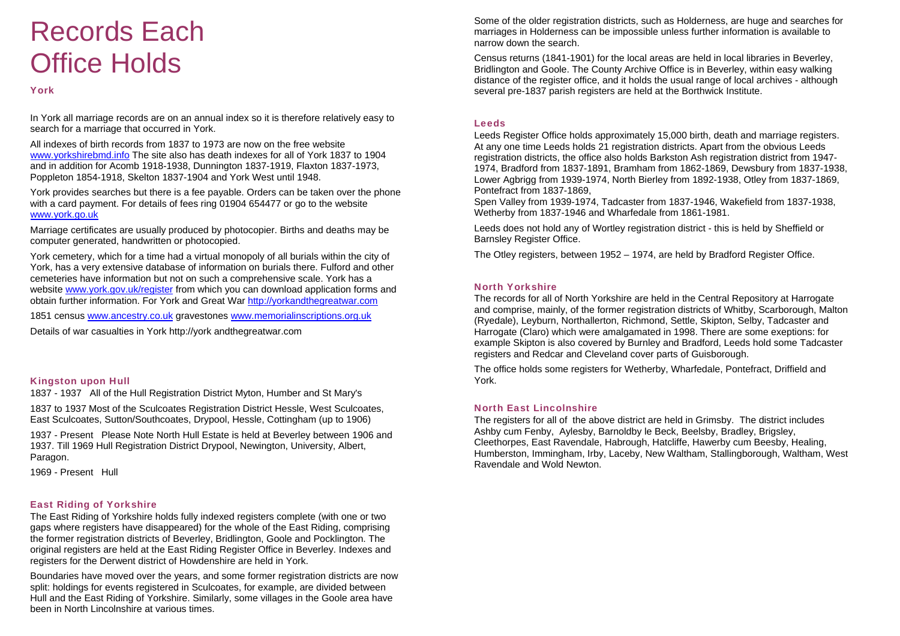# Records Each Office Holds

### York

In York all marriage records are on an annual index so it is therefore relatively easy to search for a marriage that occurred in York.

All indexes of birth records from 1837 to 1973 are now on the free website [www.yorkshirebmd.info](http://www.yorkshirebmd.info/) The site also has death indexes for all of York 1837 to 1904 and in addition for Acomb 1918-1938, Dunnington 1837-1919, Flaxton 1837-1973, Poppleton 1854-1918, Skelton 1837-1904 and York West until 1948.

York provides searches but there is a fee payable. Orders can be taken over the phone with a card payment. For details of fees ring 01904 654477 or go to the website [www.york.go.uk](http://www.york.go.uk/)

Marriage certificates are usually produced by photocopier. Births and deaths may be computer generated, handwritten or photocopied.

York cemetery, which for a time had a virtual monopoly of all burials within the city of York, has a very extensive database of information on burials there. Fulford and other cemeteries have information but not on such a comprehensive scale. York has a website [www.york.gov.uk/register](http://www.york.gov.uk/register) from which you can download application forms and obtain further information. For York and Great War [http://yorkandthegreatwar.com](http://yorkandthegreatwar.com/)

1851 census [www.ancestry.co.uk](http://www.ancestry.co.uk/) gravestones [www.memorialinscriptions.org.uk](http://www.memorialinscriptions.org.uk/)

Details of war casualties in York http://york andthegreatwar.com

### Kingston upon Hull

1837 - 1937 All of the Hull Registration District Myton, Humber and St Mary's

1837 to 1937 Most of the Sculcoates Registration District Hessle, West Sculcoates, East Sculcoates, Sutton/Southcoates, Drypool, Hessle, Cottingham (up to 1906)

1937 - Present Please Note North Hull Estate is held at Beverley between 1906 and 1937. Till 1969 Hull Registration District Drypool, Newington, University, Albert, Paragon.

1969 - Present Hull

# East Riding of Yorkshire

The East Riding of Yorkshire holds fully indexed registers complete (with one or two gaps where registers have disappeared) for the whole of the East Riding, comprising the former registration districts of Beverley, Bridlington, Goole and Pocklington. The original registers are held at the East Riding Register Office in Beverley. Indexes and registers for the Derwent district of Howdenshire are held in York.

Boundaries have moved over the years, and some former registration districts are now split: holdings for events registered in Sculcoates, for example, are divided between Hull and the East Riding of Yorkshire. Similarly, some villages in the Goole area have been in North Lincolnshire at various times.

Some of the older registration districts, such as Holderness, are huge and searches for marriages in Holderness can be impossible unless further information is available to narrow down the search.

Census returns (1841-1901) for the local areas are held in local libraries in Beverley, Bridlington and Goole. The County Archive Office is in Beverley, within easy walking distance of the register office, and it holds the usual range of local archives - although several pre-1837 parish registers are held at the Borthwick Institute.

#### **Leeds**

Leeds Register Office holds approximately 15,000 birth, death and marriage registers. At any one time Leeds holds 21 registration districts. Apart from the obvious Leeds registration districts, the office also holds Barkston Ash registration district from 1947- 1974, Bradford from 1837-1891, Bramham from 1862-1869, Dewsbury from 1837-1938, Lower Agbrigg from 1939-1974, North Bierley from 1892-1938, Otley from 1837-1869, Pontefract from 1837-1869,

Spen Valley from 1939-1974, Tadcaster from 1837-1946, Wakefield from 1837-1938, Wetherby from 1837-1946 and Wharfedale from 1861-1981.

Leeds does not hold any of Wortley registration district - this is held by Sheffield or Barnsley Register Office.

The Otley registers, between 1952 – 1974, are held by Bradford Register Office.

### North Yorkshire

The records for all of North Yorkshire are held in the Central Repository at Harrogate and comprise, mainly, of the former registration districts of Whitby, Scarborough, Malton (Ryedale), Leyburn, Northallerton, Richmond, Settle, Skipton, Selby, Tadcaster and Harrogate (Claro) which were amalgamated in 1998. There are some exeptions: for example Skipton is also covered by Burnley and Bradford, Leeds hold some Tadcaster registers and Redcar and Cleveland cover parts of Guisborough.

The office holds some registers for Wetherby, Wharfedale, Pontefract, Driffield and York.

### North East Lincolnshire

The registers for all of the above district are held in Grimsby. The district includes Ashby cum Fenby, Aylesby, Barnoldby le Beck, Beelsby, Bradley, Brigsley, Cleethorpes, East Ravendale, Habrough, Hatcliffe, Hawerby cum Beesby, Healing, Humberston, Immingham, Irby, Laceby, New Waltham, Stallingborough, Waltham, West Ravendale and Wold Newton.